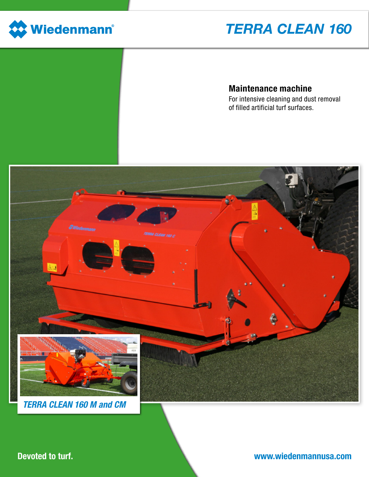

# *TERRA CLEAN 160*

### Maintenance machine

For intensive cleaning and dust removal of filled artificial turf surfaces.



Devoted to turf.

### www.wiedenmannusa.com